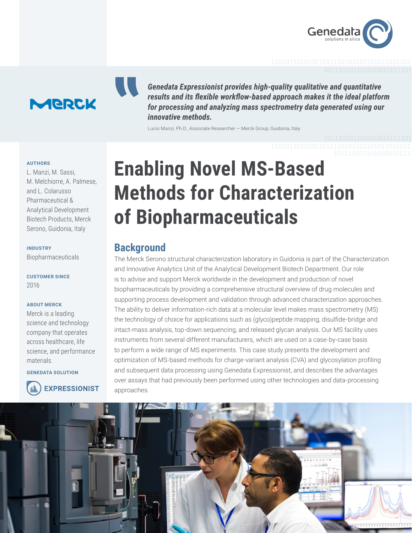



*Genedata Expressionist provides high-quality qualitative and quantitative results and its flexible workflow-based approach makes it the ideal platform for processing and analyzing mass spectrometry data generated using our innovative methods.*

Lucio Manzi, Ph.D., Associate Researcher — Merck Group, Guidonia, Italy

#### **AUTHORS**

L. Manzi, M. Sassi, M. Melchiorre, A. Palmese, and L. Colarusso Pharmaceutical & Analytical Development Biotech Products, Merck Serono, Guidonia, Italy

### **INDUSTRY** Biopharmaceuticals

**CUSTOMER SINCE**  2016

#### **ABOUT MERCK**

Merck is a leading science and technology company that operates across healthcare, life science, and performance materials.

**GENEDATA SOLUTION**



**EXPRESSIONIST** 

# **Enabling Novel MS-Based Methods for Characterization of Biopharmaceuticals**

## **Background**

The Merck Serono structural characterization laboratory in Guidonia is part of the Characterization and Innovative Analytics Unit of the Analytical Development Biotech Department. Our role is to advise and support Merck worldwide in the development and production of novel biopharmaceuticals by providing a comprehensive structural overview of drug molecules and supporting process development and validation through advanced characterization approaches. The ability to deliver information-rich data at a molecular level makes mass spectrometry (MS) the technology of choice for applications such as (glyco)peptide mapping, disulfide-bridge and intact-mass analysis, top-down sequencing, and released glycan analysis. Our MS facility uses instruments from several different manufacturers, which are used on a case-by-case basis to perform a wide range of MS experiments. This case study presents the development and optimization of MS-based methods for charge-variant analysis (CVA) and glycosylation profiling and subsequent data processing using Genedata Expressionist, and describes the advantages over assays that had previously been performed using other technologies and data-processing approaches.

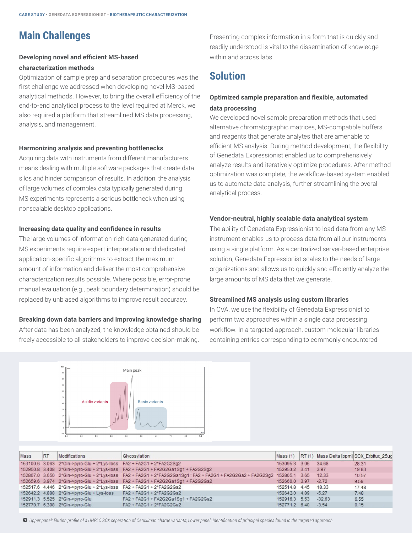# **Main Challenges**

## **Developing novel and efficient MS-based characterization methods**

Optimization of sample prep and separation procedures was the first challenge we addressed when developing novel MS-based analytical methods. However, to bring the overall efficiency of the end-to-end analytical process to the level required at Merck, we also required a platform that streamlined MS data processing, analysis, and management.

#### **Harmonizing analysis and preventing bottlenecks**

Acquiring data with instruments from different manufacturers means dealing with multiple software packages that create data silos and hinder comparison of results. In addition, the analysis of large volumes of complex data typically generated during MS experiments represents a serious bottleneck when using nonscalable desktop applications.

#### **Increasing data quality and confidence in results**

The large volumes of information-rich data generated during MS experiments require expert interpretation and dedicated application-specific algorithms to extract the maximum amount of information and deliver the most comprehensive characterization results possible. Where possible, error-prone manual evaluation (e.g., peak boundary determination) should be replaced by unbiased algorithms to improve result accuracy.

### **Breaking down data barriers and improving knowledge sharing**

After data has been analyzed, the knowledge obtained should be freely accessible to all stakeholders to improve decision-making.

Presenting complex information in a form that is quickly and readily understood is vital to the dissemination of knowledge within and across labs.

# **Solution**

## **Optimized sample preparation and flexible, automated data processing**

We developed novel sample preparation methods that used alternative chromatographic matrices, MS-compatible buffers, and reagents that generate analytes that are amenable to efficient MS analysis. During method development, the flexibility of Genedata Expressionist enabled us to comprehensively analyze results and iteratively optimize procedures. After method optimization was complete, the workflow-based system enabled us to automate data analysis, further streamlining the overall analytical process.

### **Vendor-neutral, highly scalable data analytical system**

The ability of Genedata Expressionist to load data from any MS instrument enables us to process data from all our instruments using a single platform. As a centralized server-based enterprise solution, Genedata Expressionist scales to the needs of large organizations and allows us to quickly and efficiently analyze the large amounts of MS data that we generate.

#### **Streamlined MS analysis using custom libraries**

In CVA, we use the flexibility of Genedata Expressionist to perform two approaches within a single data processing workflow. In a targeted approach, custom molecular libraries containing entries corresponding to commonly encountered



| Mass | <b>RT</b> | Modifications                                                        | Glycosylation                                                                                                             |               |          | Mass (1) RT (1) Mass Delta [ppm] SCX Erbitux 25ug |
|------|-----------|----------------------------------------------------------------------|---------------------------------------------------------------------------------------------------------------------------|---------------|----------|---------------------------------------------------|
|      |           | 153100.6 3.063 2*Gln->pyro-Glu + 2*Lys-loss FA2 + FA2G1 + 2*FA2G2Sq2 |                                                                                                                           | 153095.3 3.06 | 34.68    | 28.31                                             |
|      |           |                                                                      | 152950.8 3.408 2*Gln->pyro-Glu + 2*Lys-loss FA2 + FA2G1 + FA2G2Ga1Sg1 + FA2G2Sg2                                          | 152950.2 3.41 | 3.97     | 19.83                                             |
|      |           |                                                                      | 152807.0 3.650 2*Gln->pyro-Glu + 2*Lys-loss FA2 + FA2G1 + 2*FA2G2Ga1Sq1 : FA2 + FA2G1 + FA2G2Ga2 + FA2G2Sq2 152805.1 3.65 |               | 12.33    | 10.57                                             |
|      |           |                                                                      | 152659.6 3.974 2*Gln->pyro-Glu + 2*Lys-loss FA2 + FA2G1 + FA2G2Ga1Sq1 + FA2G2Ga2                                          | 152660.0 3.97 | $-2.72$  | 9.59                                              |
|      |           | 152517.6 4.446 2*Gln->pyro-Glu + 2*Lys-loss FA2 + FA2G1 + 2*FA2G2Ga2 |                                                                                                                           | 152514.8 4.45 | 18.33    | 17.48                                             |
|      |           | 152642.2 4.888 2*Gln->pyro-Glu + Lys-loss FA2 + FA2G1 + 2*FA2G2Ga2   |                                                                                                                           | 152643.0 4.89 | $-5.27$  | 7.48                                              |
|      |           | 152911.3 5.525 2*Gln->pyro-Glu                                       | FA2 + FA2G1 + FA2G2Ga1Sg1 + FA2G2Ga2                                                                                      | 152916.3 5.53 | $-32.63$ | 6.55                                              |
|      |           | 152770.7 6.398 2*Gln->pyro-Glu                                       | FA2 + FA2G1 + 2*FA2G2Ga2                                                                                                  | 152771.2 6.40 | $-3.54$  | 0.15                                              |

*Upper panel: Elution profile of a UHPLC SCX separation of Cetuximab charge variants; Lower panel: Identification of principal species found in the targeted approach.*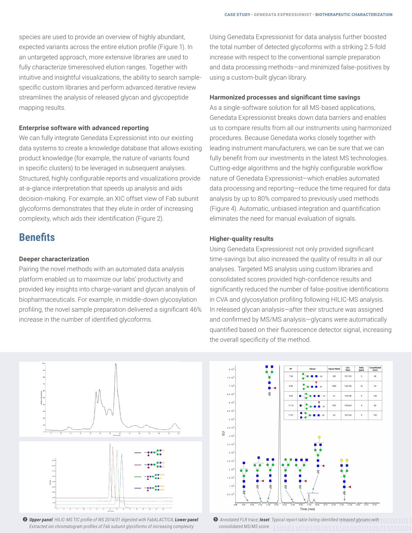species are used to provide an overview of highly abundant, expected variants across the entire elution profile (Figure 1). In an untargeted approach, more extensive libraries are used to fully characterize timeresolved elution ranges. Together with intuitive and insightful visualizations, the ability to search samplespecific custom libraries and perform advanced iterative review streamlines the analysis of released glycan and glycopeptide mapping results.

#### **Enterprise software with advanced reporting**

We can fully integrate Genedata Expressionist into our existing data systems to create a knowledge database that allows existing product knowledge (for example, the nature of variants found in specific clusters) to be leveraged in subsequent analyses. Structured, highly configurable reports and visualizations provide at-a-glance interpretation that speeds up analysis and aids decision-making. For example, an XIC offset view of Fab subunit glycoforms demonstrates that they elute in order of increasing complexity, which aids their identification (Figure 2).

## **Benefits**

#### **Deeper characterization**

Pairing the novel methods with an automated data analysis platform enabled us to maximize our labs' productivity and provided key insights into charge-variant and glycan analysis of biopharmaceuticals. For example, in middle-down glycosylation profiling, the novel sample preparation delivered a significant 46% increase in the number of identified glycoforms.

Using Genedata Expressionist for data analysis further boosted the total number of detected glycoforms with a striking 2.5-fold increase with respect to the conventional sample preparation and data processing methods—and minimized false-positives by using a custom-built glycan library.

#### **Harmonized processes and significant time savings**

As a single-software solution for all MS-based applications, Genedata Expressionist breaks down data barriers and enables us to compare results from all our instruments using harmonized procedures. Because Genedata works closely together with leading instrument manufacturers, we can be sure that we can fully benefit from our investments in the latest MS technologies. Cutting-edge algorithms and the highly configurable workflow nature of Genedata Expressionist—which enables automated data processing and reporting—reduce the time required for data analysis by up to 80% compared to previously used methods (Figure 4). Automatic, unbiased integration and quantification eliminates the need for manual evaluation of signals.

#### **Higher-quality results**

Using Genedata Expressionist not only provided significant time-savings but also increased the quality of results in all our analyses. Targeted MS analysis using custom libraries and consolidated scores provided high-confidence results and significantly reduced the number of false-positive identifications in CVA and glycosylation profiling following HILIC-MS analysis. In released glycan analysis—after their structure was assigned and confirmed by MS/MS analysis—glycans were automatically quantified based on their fluorescence detector signal, increasing the overall specificity of the method.



 *Upper panel: HILIC-MS TIC profile of WS 2014/01 digested with FabALACTICA; Lower panel: Extracted ion chromatogram profiles of Fab subunit glycoforms of increasing complexity* 



 *Annotated FLR trace; Inset: Typical report table listing identified released glycans with consolidated MS/MS score.*